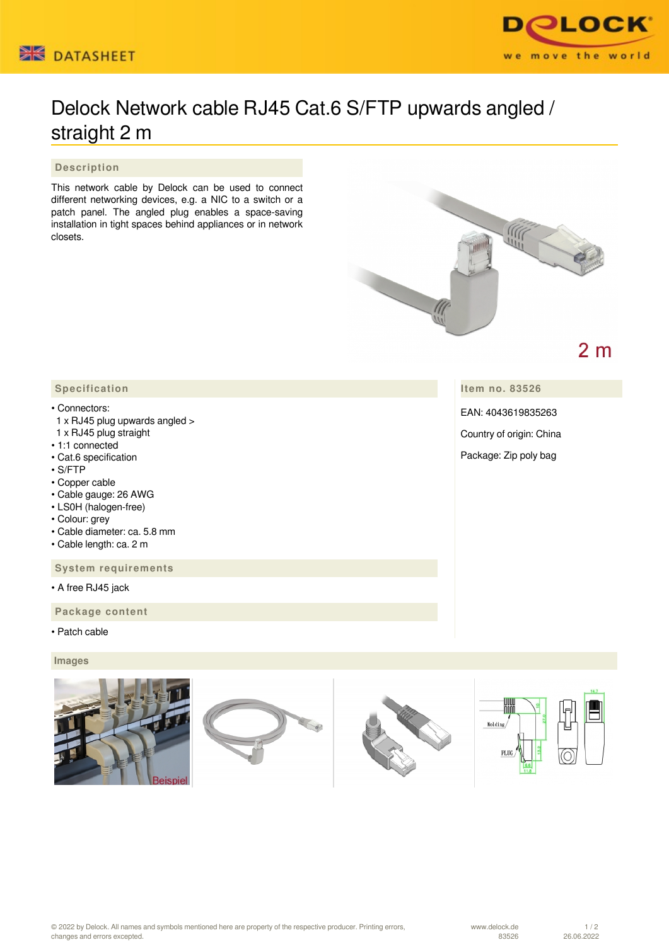



## Delock Network cable RJ45 Cat.6 S/FTP upwards angled / straight 2 m

 **Description**

This network cable by Delock can be used to connect different networking devices, e.g. a NIC to a switch or a patch panel. The angled plug enables a space-saving installation in tight spaces behind appliances or in network closets.



## $2<sub>m</sub>$

**Item no. 83526**

EAN: 4043619835263

Country of origin: China

Package: Zip poly bag

## • Connectors:

- 1 x RJ45 plug upwards angled >
- 1 x RJ45 plug straight
- 1:1 connected
- Cat.6 specification
- S/FTP
- Copper cable
- Cable gauge: 26 AWG
- LS0H (halogen-free)
- Colour: grey
- Cable diameter: ca. 5.8 mm
- Cable length: ca. 2 m

 **System requirements**

• A free RJ45 jack

 **Package content**

• Patch cable

 **Images**